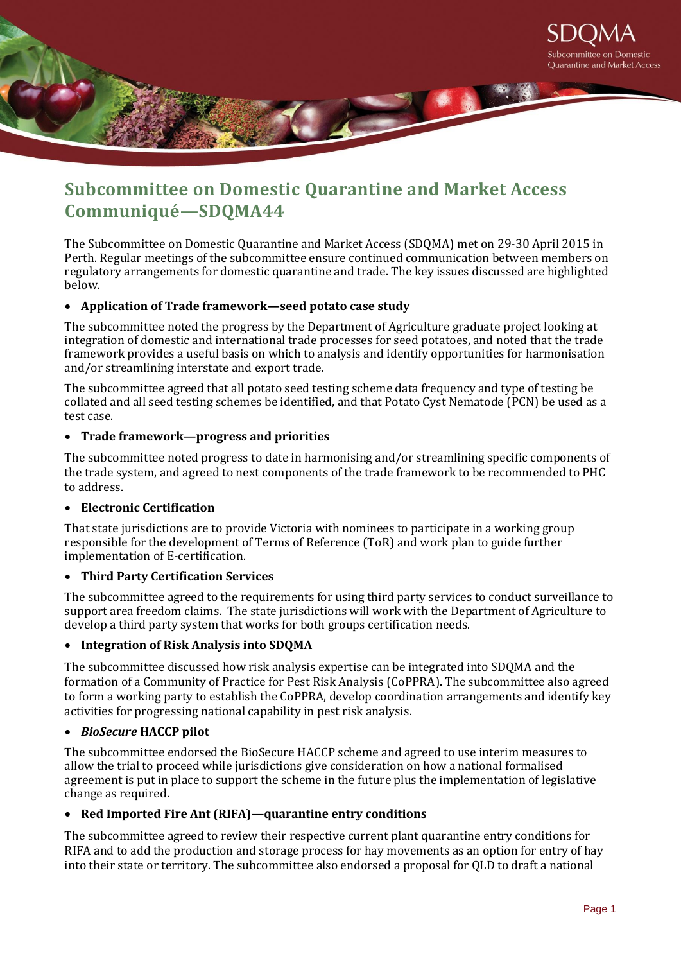

# **Subcommittee on Domestic Quarantine and Market Access Communiqué—SDQMA44**

The Subcommittee on Domestic Quarantine and Market Access (SDQMA) met on 29-30 April 2015 in Perth. Regular meetings of the subcommittee ensure continued communication between members on regulatory arrangements for domestic quarantine and trade. The key issues discussed are highlighted below.

## **Application of Trade framework—seed potato case study**

The subcommittee noted the progress by the Department of Agriculture graduate project looking at integration of domestic and international trade processes for seed potatoes, and noted that the trade framework provides a useful basis on which to analysis and identify opportunities for harmonisation and/or streamlining interstate and export trade.

The subcommittee agreed that all potato seed testing scheme data frequency and type of testing be collated and all seed testing schemes be identified, and that Potato Cyst Nematode (PCN) be used as a test case.

### **Trade framework—progress and priorities**

The subcommittee noted progress to date in harmonising and/or streamlining specific components of the trade system, and agreed to next components of the trade framework to be recommended to PHC to address.

#### **Electronic Certification**

That state jurisdictions are to provide Victoria with nominees to participate in a working group responsible for the development of Terms of Reference (ToR) and work plan to guide further implementation of E-certification.

#### **Third Party Certification Services**

The subcommittee agreed to the requirements for using third party services to conduct surveillance to support area freedom claims. The state jurisdictions will work with the Department of Agriculture to develop a third party system that works for both groups certification needs.

#### **Integration of Risk Analysis into SDQMA**

The subcommittee discussed how risk analysis expertise can be integrated into SDQMA and the formation of a Community of Practice for Pest Risk Analysis (CoPPRA). The subcommittee also agreed to form a working party to establish the CoPPRA, develop coordination arrangements and identify key activities for progressing national capability in pest risk analysis.

#### *BioSecure* **HACCP pilot**

The subcommittee endorsed the BioSecure HACCP scheme and agreed to use interim measures to allow the trial to proceed while jurisdictions give consideration on how a national formalised agreement is put in place to support the scheme in the future plus the implementation of legislative change as required.

## **Red Imported Fire Ant (RIFA)—quarantine entry conditions**

The subcommittee agreed to review their respective current plant quarantine entry conditions for RIFA and to add the production and storage process for hay movements as an option for entry of hay into their state or territory. The subcommittee also endorsed a proposal for QLD to draft a national